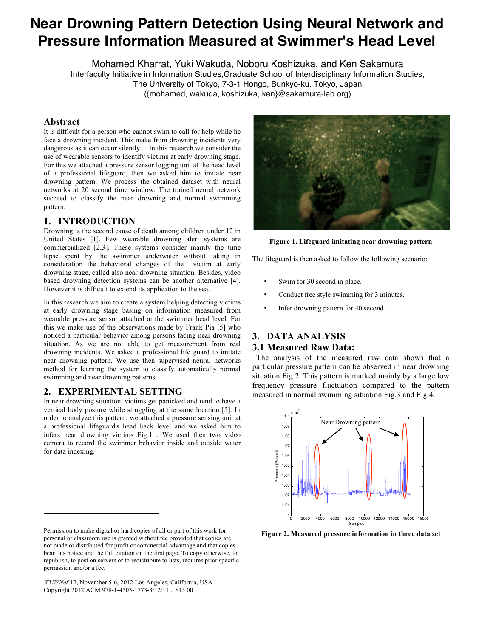# **Near Drowning Pattern Detection Using Neural Network and Pressure Information Measured at Swimmer's Head Level**

Mohamed Kharrat, Yuki Wakuda, Noboru Koshizuka, and Ken Sakamura Interfaculty Initiative in Information Studies,Graduate School of Interdisciplinary Information Studies, The University of Tokyo, 7-3-1 Hongo, Bunkyo-ku, Tokyo, Japan ({mohamed, wakuda, koshizuka, ken}@sakamura-lab.org)

## **Abstract**

It is difficult for a person who cannot swim to call for help while he face a drowning incident. This make from drowning incidents very dangerous as it can occur silently. In this research we consider the use of wearable sensors to identify victims at early drowning stage. For this we attached a pressure sensor logging unit at the head level of a professional lifeguard, then we asked him to imitate near drowning pattern. We process the obtained dataset with neural networks at 20 second time window. The trained neural network succeed to classify the near drowning and normal swimming pattern.

## **1. INTRODUCTION**

Drowning is the second cause of death among children under 12 in United States [1]. Few wearable drowning alert systems are commercialized [2,3]. These systems consider mainly the time lapse spent by the swimmer underwater without taking in consideration the behavioral changes of the victim at early drowning stage, called also near drowning situation. Besides, video based drowning detection systems can be another alternative [4]. However it is difficult to extend its application to the sea.

In this research we aim to create a system helping detecting victims at early drowning stage basing on information measured from wearable pressure sensor attached at the swimmer head level. For this we make use of the observations made by Frank Pia [5] who noticed a particular behavior among persons facing near drowning situation. As we are not able to get measurement from real drowning incidents. We asked a professional life guard to imitate near drowning pattern. We use then supervised neural networks method for learning the system to classify automatically normal swimming and near drowning patterns.

# **2. EXPERIMENTAL SETTING**

-

In near drowning situation, victims get panicked and tend to have a vertical body posture while struggling at the same location [5]. In order to analyze this pattern, we attached a pressure sensing unit at a professional lifeguard's head back level and we asked him to infers near drowning victims Fig.1 . We used then two video camera to record the swimmer behavior inside and outside water for data indexing.



**Figure 1. Lifeguard imitating near drowning pattern** 

The lifeguard is then asked to follow the following scenario:

- Swim for 30 second in place.
- Conduct free style swimming for 3 minutes.
- Infer drowning pattern for 40 second.

# **3. DATA ANALYSIS 3.1 Measured Raw Data:**

The analysis of the measured raw data shows that a particular pressure pattern can be observed in near drowning situation Fig.2. This pattern is marked mainly by a large low frequency pressure fluctuation compared to the pattern measured in normal swimming situation Fig.3 and Fig.4.



**Figure 2. Measured pressure information in three data set** 

Permission to make digital or hard copies of all or part of this work for personal or classroom use is granted without fee provided that copies are not made or distributed for profit or commercial advantage and that copies bear this notice and the full citation on the first page. To copy otherwise, to republish, to post on servers or to redistribute to lists, requires prior specific permission and/or a fee.

*WUWNet*'12, November 5-6, 2012 Los Angeles, California, USA Copyright 2012 ACM 978-1-4503-1773-3/12/11... \$15.00.